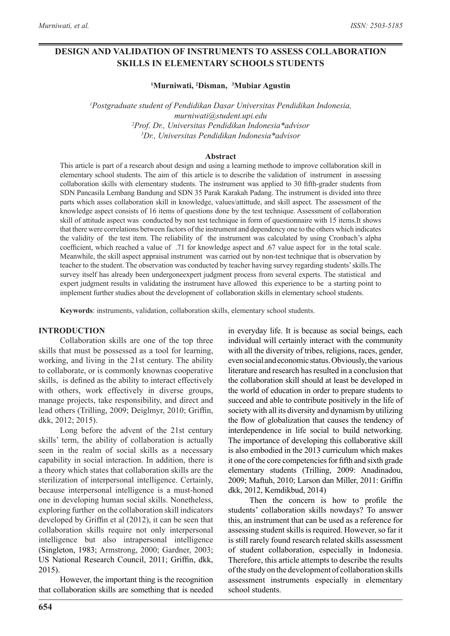# **DESIGN AND VALIDATION OF INSTRUMENTS TO ASSESS COLLABORATION SKILLS IN ELEMENTARY SCHOOLS STUDENTS**

**1 Murniwati, <sup>2</sup> Disman, <sup>3</sup> Mubiar Agustin**

 *Postgraduate student of Pendidikan Dasar Universitas Pendidikan Indonesia, murniwati@student.upi.edu Prof. Dr., Universitas Pendidikan Indonesia\*advisor Dr., Universitas Pendidikan Indonesia\*advisor*

#### **Abstract**

This article is part of a research about design and using a learning methode to improve collaboration skill in elementary school students. The aim of this article is to describe the validation of instrument in assessing collaboration skills with elementary students. The instrument was applied to 30 fifth-grader students from SDN Pancasila Lembang Bandung and SDN 35 Parak Karakah Padang. The instrument is divided into three parts which asses collaboration skill in knowledge, values/attittude, and skill aspect. The assessment of the knowledge aspect consists of 16 items of questions done by the test technique. Assessment of collaboration skill of attitude aspect was conducted by non test technique in form of questionnaire with 15 items.It shows that there were correlations between factors of the instrument and dependency one to the others which indicates the validity of the test item. The reliability of the instrument was calculated by using Cronbach's alpha coefficient, which reached a value of .71 for knowledge aspect and .67 value aspect for in the total scale. Meanwhile, the skill aspect appraisal instrument was carried out by non-test technique that is observation by teacher to the student. The observation was conducted by teacher having survey regarding students' skills.The survey itself has already been undergoneexpert judgment process from several experts. The statistical and expert judgment results in validating the instrument have allowed this experience to be a starting point to implement further studies about the development of collaboration skills in elementary school students.

**Keywords**: instruments, validation, collaboration skills, elementary school students.

#### **INTRODUCTION**

Collaboration skills are one of the top three skills that must be possessed as a tool for learning, working, and living in the 21st century. The ability to collaborate, or is commonly knownas cooperative skills, is defined as the ability to interact effectively with others, work effectively in diverse groups, manage projects, take responsibility, and direct and lead others (Trilling, 2009; Deiglmyr, 2010; Griffin, dkk, 2012; 2015).

Long before the advent of the 21st century skills' term, the ability of collaboration is actually seen in the realm of social skills as a necessary capability in social interaction. In addition, there is a theory which states that collaboration skills are the sterilization of interpersonal intelligence. Certainly, because interpersonal intelligence is a must-honed one in developing human social skills. Nonetheless, exploring further on the collaboration skill indicators developed by Griffin et al (2012), it can be seen that collaboration skills require not only interpersonal intelligence but also intrapersonal intelligence (Singleton, 1983; Armstrong, 2000; Gardner, 2003; US National Research Council, 2011; Griffin, dkk, 2015).

However, the important thing is the recognition that collaboration skills are something that is needed

in everyday life. It is because as social beings, each individual will certainly interact with the community with all the diversity of tribes, religions, races, gender, even social and economic status. Obviously, the various literature and research has resulted in a conclusion that the collaboration skill should at least be developed in the world of education in order to prepare students to succeed and able to contribute positively in the life of society with all its diversity and dynamism by utilizing the flow of globalization that causes the tendency of interdependence in life social to build networking. The importance of developing this collaborative skill is also embodied in the 2013 curriculum which makes it one of the core competencies for fifth and sixth grade elementary students (Trilling, 2009: Anadinadou, 2009; Maftuh, 2010; Larson dan Miller, 2011: Griffin dkk, 2012, Kemdikbud, 2014)

Then the concern is how to profile the students' collaboration skills nowdays? To answer this, an instrument that can be used as a reference for assessing student skills is required. However, so far it is still rarely found research related skills assessment of student collaboration, especially in Indonesia. Therefore, this article attempts to describe the results of the study on the development of collaboration skills assessment instruments especially in elementary school students.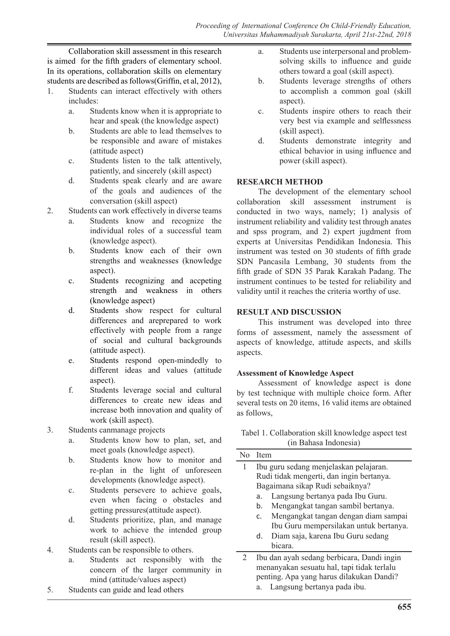Collaboration skill assessment in this research is aimed for the fifth graders of elementary school. In its operations, collaboration skills on elementary students are described as follows(Griffin, et al, 2012),

- 1. Students can interact effectively with others includes:
	- a. Students know when it is appropriate to hear and speak (the knowledge aspect)
	- b. Students are able to lead themselves to be responsible and aware of mistakes (attitude aspect)
	- c. Students listen to the talk attentively, patiently, and sincerely (skill aspect)
	- d. Students speak clearly and are aware of the goals and audiences of the conversation (skill aspect)
- 2. Students can work effectively in diverse teams
	- a. Students know and recognize the individual roles of a successful team (knowledge aspect).
	- b. Students know each of their own strengths and weaknesses (knowledge aspect).
	- c. Students recognizing and accpeting strength and weakness in others (knowledge aspect)
	- d. Students show respect for cultural differences and areprepared to work effectively with people from a range of social and cultural backgrounds (attitude aspect).
	- e. Students respond open-mindedly to different ideas and values (attitude aspect).
	- f. Students leverage social and cultural differences to create new ideas and increase both innovation and quality of work (skill aspect).
- 3. Students canmanage projects
	- a. Students know how to plan, set, and meet goals (knowledge aspect).
	- b. Students know how to monitor and re-plan in the light of unforeseen developments (knowledge aspect).
	- c. Students persevere to achieve goals, even when facing o obstacles and getting pressures(attitude aspect).
	- d. Students prioritize, plan, and manage work to achieve the intended group result (skill aspect).
- 4. Students can be responsible to others.
	- a. Students act responsibly with the concern of the larger community in mind (attitude/values aspect)
- 5. Students can guide and lead others
- a. Students use interpersonal and problemsolving skills to influence and guide others toward a goal (skill aspect).
- b. Students leverage strengths of others to accomplish a common goal (skill aspect).
- c. Students inspire others to reach their very best via example and selflessness (skill aspect).
- d. Students demonstrate integrity and ethical behavior in using influence and power (skill aspect).

## **RESEARCH METHOD**

The development of the elementary school collaboration skill assessment instrument is conducted in two ways, namely; 1) analysis of instrument reliability and validity test through anates and spss program, and 2) expert jugdment from experts at Universitas Pendidikan Indonesia. This instrument was tested on 30 students of fifth grade SDN Pancasila Lembang, 30 students from the fifth grade of SDN 35 Parak Karakah Padang. The instrument continues to be tested for reliability and validity until it reaches the criteria worthy of use.

# **RESULT AND DISCUSSION**

This instrument was developed into three forms of assessment, namely the assessment of aspects of knowledge, attitude aspects, and skills aspects.

## **Assessment of Knowledge Aspect**

Assessment of knowledge aspect is done by test technique with multiple choice form. After several tests on 20 items, 16 valid items are obtained as follows,

### Tabel 1. Collaboration skill knowledge aspect test (in Bahasa Indonesia)

| <b>Item</b>                                |
|--------------------------------------------|
| Ibu guru sedang menjelaskan pelajaran.     |
| Rudi tidak mengerti, dan ingin bertanya.   |
| Bagaimana sikap Rudi sebaiknya?            |
| Langsung bertanya pada Ibu Guru.<br>a.     |
| Mengangkat tangan sambil bertanya.<br>b.   |
| Mengangkat tangan dengan diam sampai<br>C. |
| Ibu Guru mempersilakan untuk bertanya.     |
| Diam saja, karena Ibu Guru sedang<br>d.    |
| bicara.                                    |
| Ibu dan ayah sedang berbicara, Dandi ingin |
| menanyakan sesuatu hal, tapi tidak terlalu |
| penting. Apa yang harus dilakukan Dandi?   |
|                                            |

a. Langsung bertanya pada ibu.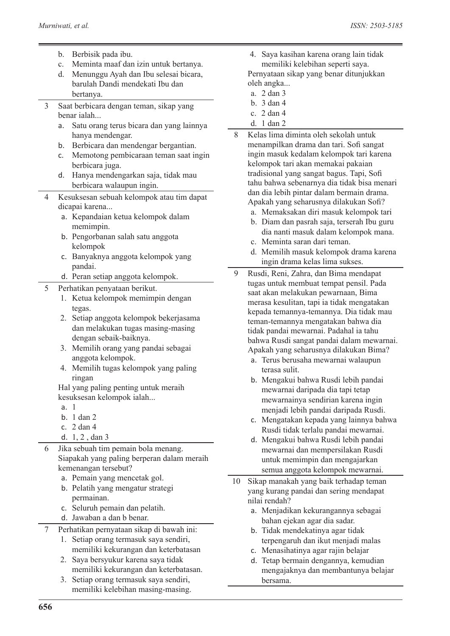- b. Berbisik pada ibu.
- c. Meminta maaf dan izin untuk bertanya.
- d. Menunggu Ayah dan Ibu selesai bicara, barulah Dandi mendekati Ibu dan bertanya.
- 3 Saat berbicara dengan teman, sikap yang benar ialah...
	- a. Satu orang terus bicara dan yang lainnya hanya mendengar.
	- b. Berbicara dan mendengar bergantian.
	- c. Memotong pembicaraan teman saat ingin berbicara juga.
	- d. Hanya mendengarkan saja, tidak mau berbicara walaupun ingin.
- 4 Kesuksesan sebuah kelompok atau tim dapat dicapai karena...
	- a. Kepandaian ketua kelompok dalam memimpin.
	- b. Pengorbanan salah satu anggota kelompok
	- c. Banyaknya anggota kelompok yang pandai.
	- d. Peran setiap anggota kelompok.
- 5 Perhatikan penyataan berikut.
	- 1. Ketua kelompok memimpin dengan tegas.
	- 2. Setiap anggota kelompok bekerjasama dan melakukan tugas masing-masing dengan sebaik-baiknya.
	- 3. Memilih orang yang pandai sebagai anggota kelompok.
	- 4. Memilih tugas kelompok yang paling ringan

Hal yang paling penting untuk meraih kesuksesan kelompok ialah...

- a. 1
- b. 1 dan 2
- c. 2 dan 4
- d. 1, 2 , dan 3
- 6 Jika sebuah tim pemain bola menang. Siapakah yang paling berperan dalam meraih kemenangan tersebut?
	- a. Pemain yang mencetak gol.
	- b. Pelatih yang mengatur strategi permainan.
	- c. Seluruh pemain dan pelatih.
	- d. Jawaban a dan b benar.
- 7 Perhatikan pernyataan sikap di bawah ini:
	- 1. Setiap orang termasuk saya sendiri, memiliki kekurangan dan keterbatasan
	- 2. Saya bersyukur karena saya tidak memiliki kekurangan dan keterbatasan.
	- 3. Setiap orang termasuk saya sendiri, memiliki kelebihan masing-masing.
- 4. Saya kasihan karena orang lain tidak memiliki kelebihan seperti saya. Pernyataan sikap yang benar ditunjukkan
- oleh angka...
- a. 2 dan 3 b. 3 dan 4
- c. 2 dan 4
- d. 1 dan 2
- 8 Kelas lima diminta oleh sekolah untuk menampilkan drama dan tari. Sofi sangat ingin masuk kedalam kelompok tari karena kelompok tari akan memakai pakaian tradisional yang sangat bagus. Tapi, Sofi tahu bahwa sebenarnya dia tidak bisa menari dan dia lebih pintar dalam bermain drama. Apakah yang seharusnya dilakukan Sofi?
	- a. Memaksakan diri masuk kelompok tari
	- b. Diam dan pasrah saja, terserah Ibu guru dia nanti masuk dalam kelompok mana.
	- c. Meminta saran dari teman.
	- d. Memilih masuk kelompok drama karena ingin drama kelas lima sukses.
- 9 Rusdi, Reni, Zahra, dan Bima mendapat tugas untuk membuat tempat pensil. Pada saat akan melakukan pewarnaan, Bima merasa kesulitan, tapi ia tidak mengatakan kepada temannya-temannya. Dia tidak mau teman-temannya mengatakan bahwa dia tidak pandai mewarnai. Padahal ia tahu bahwa Rusdi sangat pandai dalam mewarnai. Apakah yang seharusnya dilakukan Bima?
	- a. Terus berusaha mewarnai walaupun terasa sulit.
	- b. Mengakui bahwa Rusdi lebih pandai mewarnai daripada dia tapi tetap mewarnainya sendirian karena ingin menjadi lebih pandai daripada Rusdi.
	- c. Mengatakan kepada yang lainnya bahwa Rusdi tidak terlalu pandai mewarnai.
	- d. Mengakui bahwa Rusdi lebih pandai mewarnai dan mempersilakan Rusdi untuk memimpin dan mengajarkan semua anggota kelompok mewarnai.
- 10 Sikap manakah yang baik terhadap teman yang kurang pandai dan sering mendapat nilai rendah?
	- a. Menjadikan kekurangannya sebagai bahan ejekan agar dia sadar.
	- b. Tidak mendekatinya agar tidak terpengaruh dan ikut menjadi malas
	- c. Menasihatinya agar rajin belajar
	- d. Tetap bermain dengannya, kemudian mengajaknya dan membantunya belajar bersama.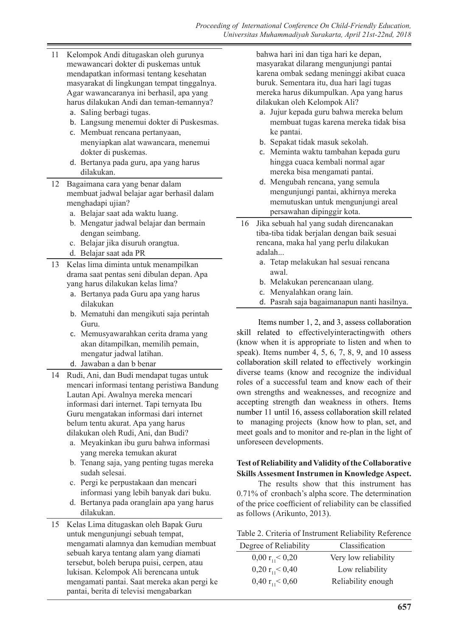- 11 Kelompok Andi ditugaskan oleh gurunya mewawancari dokter di puskemas untuk mendapatkan informasi tentang kesehatan masyarakat di lingkungan tempat tinggalnya. Agar wawancaranya ini berhasil, apa yang harus dilakukan Andi dan teman-temannya?
	- a. Saling berbagi tugas.
	- b. Langsung menemui dokter di Puskesmas.
	- c. Membuat rencana pertanyaan, menyiapkan alat wawancara, menemui dokter di puskemas.
	- d. Bertanya pada guru, apa yang harus dilakukan.
- 12 Bagaimana cara yang benar dalam membuat jadwal belajar agar berhasil dalam menghadapi ujian?
	- a. Belajar saat ada waktu luang.
	- b. Mengatur jadwal belajar dan bermain dengan seimbang.
	- c. Belajar jika disuruh orangtua.
	- d. Belajar saat ada PR
- 13 Kelas lima diminta untuk menampilkan drama saat pentas seni dibulan depan. Apa yang harus dilakukan kelas lima?
	- a. Bertanya pada Guru apa yang harus dilakukan
	- b. Mematuhi dan mengikuti saja perintah Guru.
	- c. Memusyawarahkan cerita drama yang akan ditampilkan, memilih pemain, mengatur jadwal latihan.
	- d. Jawaban a dan b benar
- 14 Rudi, Ani, dan Budi mendapat tugas untuk mencari informasi tentang peristiwa Bandung Lautan Api. Awalnya mereka mencari informasi dari internet. Tapi ternyata Ibu Guru mengatakan informasi dari internet belum tentu akurat. Apa yang harus dilakukan oleh Rudi, Ani, dan Budi?
	- a. Meyakinkan ibu guru bahwa informasi yang mereka temukan akurat
	- b. Tenang saja, yang penting tugas mereka sudah selesai.
	- c. Pergi ke perpustakaan dan mencari informasi yang lebih banyak dari buku.
	- d. Bertanya pada oranglain apa yang harus dilakukan.
- 15 Kelas Lima ditugaskan oleh Bapak Guru untuk mengunjungi sebuah tempat, mengamati alamnya dan kemudian membuat sebuah karya tentang alam yang diamati tersebut, boleh berupa puisi, cerpen, atau lukisan. Kelompok Ali berencana untuk mengamati pantai. Saat mereka akan pergi ke pantai, berita di televisi mengabarkan

bahwa hari ini dan tiga hari ke depan, masyarakat dilarang mengunjungi pantai karena ombak sedang meninggi akibat cuaca buruk. Sementara itu, dua hari lagi tugas mereka harus dikumpulkan. Apa yang harus dilakukan oleh Kelompok Ali?

- a. Jujur kepada guru bahwa mereka belum membuat tugas karena mereka tidak bisa ke pantai.
- b. Sepakat tidak masuk sekolah.
- c. Meminta waktu tambahan kepada guru hingga cuaca kembali normal agar mereka bisa mengamati pantai.
- d. Mengubah rencana, yang semula mengunjungi pantai, akhirnya mereka memutuskan untuk mengunjungi areal persawahan dipinggir kota.
- 16 Jika sebuah hal yang sudah direncanakan tiba-tiba tidak berjalan dengan baik sesuai rencana, maka hal yang perlu dilakukan adalah...
	- a. Tetap melakukan hal sesuai rencana awal.
	- b. Melakukan perencanaan ulang.
	- c. Menyalahkan orang lain.
	- d. Pasrah saja bagaimanapun nanti hasilnya.

Items number 1, 2, and 3, assess collaboration skill related to effectivelyinteractingwith others (know when it is appropriate to listen and when to speak). Items number 4, 5, 6, 7, 8, 9, and 10 assess collaboration skill related to effectively workingin diverse teams (know and recognize the individual roles of a successful team and know each of their own strengths and weaknesses, and recognize and accepting strength dan weakness in others. Items number 11 until 16, assess collaboration skill related to managing projects (know how to plan, set, and meet goals and to monitor and re-plan in the light of unforeseen developments.

### **Test of Reliability and Validity of the Collaborative Skills Assesment Instrumen in Knowledge Aspect.**

The results show that this instrument has 0.71% of cronbach's alpha score. The determination of the price coefficient of reliability can be classified as follows (Arikunto, 2013).

| Table 2. Criteria of Instrument Reliability Reference |  |  |  |
|-------------------------------------------------------|--|--|--|
|-------------------------------------------------------|--|--|--|

| Classification       |
|----------------------|
| Very low reliability |
| Low reliability      |
| Reliability enough   |
|                      |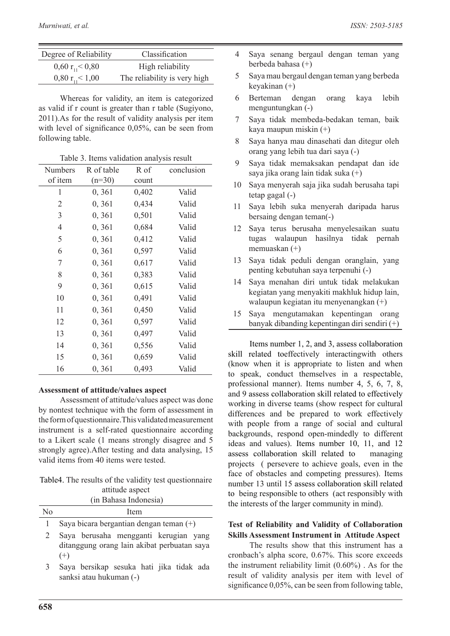| Degree of Reliability           | Classification               |
|---------------------------------|------------------------------|
| $0,60 \text{ r}_{11} < 0,80$    | High reliability             |
| $0,80$ r <sub>11</sub> $< 1,00$ | The reliability is very high |

Whereas for validity, an item is categorized as valid if r count is greater than r table (Sugiyono, 2011).As for the result of validity analysis per item with level of significance 0,05%, can be seen from following table.

Table 3. Items validation analysis result

| <b>Numbers</b> | R of table | R of  | conclusion |
|----------------|------------|-------|------------|
| of item        | $(n=30)$   | count |            |
| 1              | 0,361      | 0,402 | Valid      |
| 2              | 0, 361     | 0,434 | Valid      |
| 3              | 0,361      | 0,501 | Valid      |
| $\overline{4}$ | 0,361      | 0,684 | Valid      |
| 5              | 0,361      | 0,412 | Valid      |
| 6              | 0, 361     | 0,597 | Valid      |
| 7              | 0,361      | 0,617 | Valid      |
| 8              | 0, 361     | 0,383 | Valid      |
| 9              | 0,361      | 0,615 | Valid      |
| 10             | 0,361      | 0,491 | Valid      |
| 11             | 0,361      | 0,450 | Valid      |
| 12             | 0,361      | 0,597 | Valid      |
| 13             | 0,361      | 0,497 | Valid      |
| 14             | 0, 361     | 0,556 | Valid      |
| 15             | 0, 361     | 0,659 | Valid      |
| 16             | 0, 361     | 0,493 | Valid      |

#### **Assessment of attitude/values aspect**

Assessment of attitude/values aspect was done by nontest technique with the form of assessment in the form of questionnaire.This validated measurement instrument is a self-rated questionnaire according to a Likert scale (1 means strongly disagree and 5 strongly agree).After testing and data analysing, 15 valid items from 40 items were tested.

Table4. The results of the validity test questionnaire attitude aspect

|                | (in Bahasa Indonesia)                     |
|----------------|-------------------------------------------|
| N <sub>0</sub> | <b>I</b> tem                              |
|                | Saya bicara bergantian dengan teman $(+)$ |

2 Saya berusaha mengganti kerugian yang ditanggung orang lain akibat perbuatan saya  $(+)$ 

3 Saya bersikap sesuka hati jika tidak ada sanksi atau hukuman (-)

- 4 Saya senang bergaul dengan teman yang berbeda bahasa (+)
- 5 Saya mau bergaul dengan teman yang berbeda keyakinan (+)
- 6 Berteman dengan orang kaya lebih menguntungkan (-)
- 7 Saya tidak membeda-bedakan teman, baik kaya maupun miskin (+)
- 8 Saya hanya mau dinasehati dan ditegur oleh orang yang lebih tua dari saya (-)
- 9 Saya tidak memaksakan pendapat dan ide saya jika orang lain tidak suka (+)
- 10 Saya menyerah saja jika sudah berusaha tapi tetap gagal (-)
- 11 Saya lebih suka menyerah daripada harus bersaing dengan teman(-)
- 12 Saya terus berusaha menyelesaikan suatu tugas walaupun hasilnya tidak pernah memuaskan (+)
- 13 Saya tidak peduli dengan oranglain, yang penting kebutuhan saya terpenuhi (-)
- 14 Saya menahan diri untuk tidak melakukan kegiatan yang menyakiti makhluk hidup lain, walaupun kegiatan itu menyenangkan (+)
- 15 Saya mengutamakan kepentingan orang banyak dibanding kepentingan diri sendiri (+)

Items number 1, 2, and 3, assess collaboration skill related toeffectively interactingwith others (know when it is appropriate to listen and when to speak, conduct themselves in a respectable, professional manner). Items number 4, 5, 6, 7, 8, and 9 assess collaboration skill related to effectively working in diverse teams (show respect for cultural differences and be prepared to work effectively with people from a range of social and cultural backgrounds, respond open-mindedly to different ideas and values). Items number 10, 11, and 12 assess collaboration skill related to managing projects ( persevere to achieve goals, even in the face of obstacles and competing pressures). Items number 13 until 15 assess collaboration skill related to being responsible to others (act responsibly with the interests of the larger community in mind).

## **Test of Reliability and Validity of Collaboration Skills Assessment Instrument in Attitude Aspect**

The results show that this instrument has a cronbach's alpha score, 0.67%. This score exceeds the instrument reliability limit (0.60%) . As for the result of validity analysis per item with level of significance 0,05%, can be seen from following table,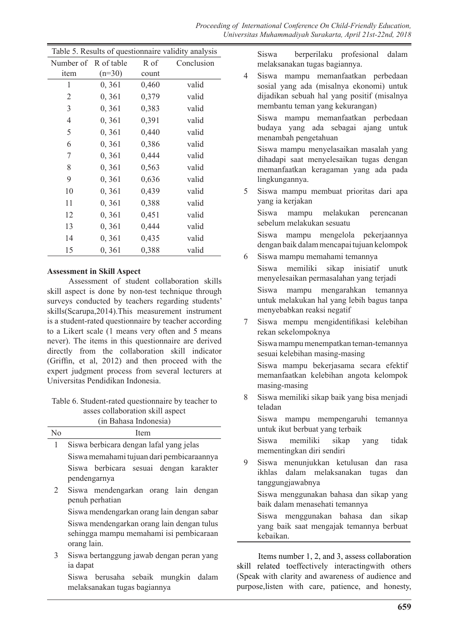| Table 5. Results of questionnaire validity analysis |          |       |            |
|-----------------------------------------------------|----------|-------|------------|
| Number of R of table                                |          | R of  | Conclusion |
| item                                                | $(n=30)$ | count |            |
| 1                                                   | 0, 361   | 0,460 | valid      |
| 2                                                   | 0, 361   | 0,379 | valid      |
| 3                                                   | 0,361    | 0,383 | valid      |
| $\overline{4}$                                      | 0,361    | 0,391 | valid      |
| 5                                                   | 0,361    | 0,440 | valid      |
| 6                                                   | 0, 361   | 0,386 | valid      |
| 7                                                   | 0, 361   | 0,444 | valid      |
| 8                                                   | 0,361    | 0,563 | valid      |
| 9                                                   | 0,361    | 0,636 | valid      |
| 10                                                  | 0,361    | 0,439 | valid      |
| 11                                                  | 0,361    | 0,388 | valid      |
| 12                                                  | 0, 361   | 0,451 | valid      |
| 13                                                  | 0,361    | 0,444 | valid      |
| 14                                                  | 0,361    | 0,435 | valid      |
| 15                                                  | 0,361    | 0,388 | valid      |

### **Assessment in Skill Aspect**

Assessment of student collaboration skills skill aspect is done by non-test technique through surveys conducted by teachers regarding students' skills(Scarupa,2014).This measurement instrument is a student-rated questionnaire by teacher according to a Likert scale (1 means very often and 5 means never). The items in this questionnaire are derived directly from the collaboration skill indicator (Griffin, et al, 2012) and then proceed with the expert judgment process from several lecturers at Universitas Pendidikan Indonesia.

Table 6. Student-rated questionnaire by teacher to asses collaboration skill aspect (in Bahasa Indonesia)

|                | (III Danasa muonesia)                      |
|----------------|--------------------------------------------|
| N <sub>0</sub> | Item                                       |
| 1              | Siswa berbicara dengan lafal yang jelas    |
|                | Siswa memahami tujuan dari pembicaraannya  |
|                | Siswa berbicara sesuai dengan karakter     |
|                | pendengarnya                               |
| 2              | Siswa mendengarkan orang lain dengan       |
|                | penuh perhatian                            |
|                | Siswa mendengarkan orang lain dengan sabar |
|                | Siswa mendengarkan orang lain dengan tulus |
|                | sehingga mampu memahami isi pembicaraan    |
|                | orang lain.                                |
| 3              | Siswa bertanggung jawab dengan peran yang  |
|                | ia dapat                                   |
|                |                                            |

Siswa berusaha sebaik mungkin dalam melaksanakan tugas bagiannya

Siswa berperilaku profesional dalam melaksanakan tugas bagiannya.

4 Siswa mampu memanfaatkan perbedaan sosial yang ada (misalnya ekonomi) untuk dijadikan sebuah hal yang positif (misalnya membantu teman yang kekurangan)

Siswa mampu memanfaatkan perbedaan budaya yang ada sebagai ajang untuk menambah pengetahuan

Siswa mampu menyelasaikan masalah yang dihadapi saat menyelesaikan tugas dengan memanfaatkan keragaman yang ada pada lingkungannya.

5 Siswa mampu membuat prioritas dari apa yang ia kerjakan

Siswa mampu melakukan perencanan sebelum melakukan sesuatu

Siswa mampu mengelola pekerjaannya dengan baik dalam mencapai tujuan kelompok

6 Siswa mampu memahami temannya

Siswa mampu mengarahkan temannya untuk melakukan hal yang lebih bagus tanpa menyebabkan reaksi negatif

7 Siswa mempu mengidentifikasi kelebihan rekan sekelompoknya

Siswa mampu menempatkan teman-temannya sesuai kelebihan masing-masing

Siswa mampu bekerjasama secara efektif memanfaatkan kelebihan angota kelompok masing-masing

8 Siswa memiliki sikap baik yang bisa menjadi teladan

Siswa mampu mempengaruhi temannya untuk ikut berbuat yang terbaik

Siswa memiliki sikap yang tidak mementingkan diri sendiri

9 Siswa menunjukkan ketulusan dan rasa ikhlas dalam melaksanakan tugas dan tanggungjawabnya

Siswa menggunakan bahasa dan sikap yang baik dalam menasehati temannya

Siswa menggunakan bahasa dan sikap yang baik saat mengajak temannya berbuat kebaikan.

Items number 1, 2, and 3, assess collaboration skill related toeffectively interactingwith others (Speak with clarity and awareness of audience and purpose,listen with care, patience, and honesty,

Siswa memiliki sikap inisiatif unutk menyelesaikan permasalahan yang terjadi